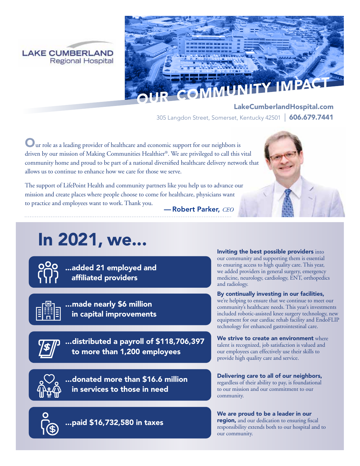



LakeCumberlandHospital.com 305 Langdon Street, Somerset, Kentucky 42501 | 606.679.7441

Our role as a leading provider of healthcare and economic support for our neighbors is driven by our mission of Making Communities Healthier®. We are privileged to call this vital community home and proud to be part of a national diversified healthcare delivery network that allows us to continue to enhance how we care for those we serve.

The support of LifePoint Health and community partners like you help us to advance our mission and create places where people choose to come for healthcare, physicians want to practice and employees want to work. Thank you.



— Robert Parker, *CEO*

# In 2021, we...



...added 21 employed and affiliated providers



...made nearly \$6 million in capital improvements



...distributed a payroll of \$118,706,397 to more than 1,200 employees

...donated more than \$16.6 million in services to those in need



...paid \$16,732,580 in taxes

Inviting the best possible providers into our community and supporting them is essential to ensuring access to high quality care. This year, we added providers in general surgery, emergency medicine, neurology, cardiology, ENT, orthopedics and radiology.

By continually investing in our facilities, we're helping to ensure that we continue to meet our community's healthcare needs. This year's investments included robotic-assisted knee surgery technology, new equipment for our cardiac rehab facility and EndoFLIP technology for enhanced gastrointestinal care.

We strive to create an environment where talent is recognized, job satisfaction is valued and our employees can effectively use their skills to provide high quality care and service.

Delivering care to all of our neighbors, regardless of their ability to pay, is foundational to our mission and our commitment to our community.

We are proud to be a leader in our region, and our dedication to ensuring fiscal responsibility extends both to our hospital and to our community.